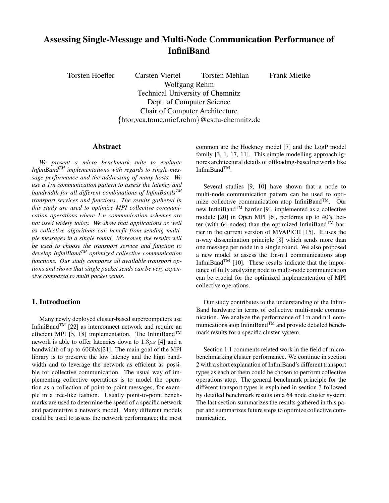# **Assessing Single-Message and Multi-Node Communication Performance of InfiniBand**

Torsten Hoefler Carsten Viertel Torsten Mehlan Frank Mietke Wolfgang Rehm Technical University of Chemnitz Dept. of Computer Science Chair of Computer Architecture {htor,vca,tome,mief,rehm}@cs.tu-chemnitz.de

# **Abstract**

*We present a micro benchmark suite to evaluate InfiniBandTM implementations with regards to single message performance and the addressing of many hosts. We use a 1:n communication pattern to assess the latency and bandwidth for all different combinations of InfiniBandsTM transport services and functions. The results gathered in this study are used to optimize MPI collective communication operations where 1:n communication schemes are not used widely today. We show that applications as well as collective algorithms can benefit from sending multiple messages in a single round. Moreover, the results will be used to choose the transport service and function to develop InfiniBandTM optimized collective communication functions. Our study compares all available transport options and shows that single packet sends can be very expensive compared to multi packet sends.*

# **1. Introduction**

Many newly deployed cluster-based supercomputers use InfiniBand<sup>TM</sup> [22] as interconnect network and require an efficient MPI [5, 18] implementation. The InfiniBand<sup>TM</sup> nework is able to offer latencies down to  $1.3\mu s$  [4] and a bandwidth of up to 60Gb/s[21]. The main goal of the MPI library is to preserve the low latency and the hign bandwidth and to leverage the network as efficient as possible for collective communication. The usual way of implementing collective operations is to model the operation as a collection of point-to-point messages, for example in a tree-like fashion. Usually point-to-point benchmarks are used to determine the speed of a specific network and parametrize a network model. Many different models could be used to assess the network performance; the most common are the Hockney model [7] and the LogP model family [3, 1, 17, 11]. This simple modelling approach ignores architectural details of offloading-based networks like InfiniBandTM.

Several studies [9, 10] have shown that a node to multi-node communication pattern can be used to optimize collective communication atop InfiniBand<sup>TM</sup>. Our new InfiniBandTM barrier [9], implemented as a collective module [20] in Open MPI [6], performs up to 40% better (with 64 nodes) than the optimized InfiniBand<sup>TM</sup> barrier in the current version of MVAPICH [15]. It uses the n-way dissemination principle [8] which sends more than one message per node in a single round. We also proposed a new model to assess the 1:n-n:1 communications atop InfiniBand<sup>TM</sup> [10]. These results indicate that the importance of fully analyzing node to multi-node communication can be crucial for the optimized implementention of MPI collective operations.

Our study contributes to the understanding of the Infini-Band hardware in terms of collective multi-node communication. We analyze the performance of 1:n and n:1 communications atop InfiniBandTM and provide detailed benchmark results for a specific cluster system.

Section 1.1 comments related work in the field of microbenchmarking cluster performance. We continue in section 2 with a short explanation of InfiniBand's different transport types as each of them could be chosen to perform collective operations atop. The general benchmark principle for the different transport types is explained in section 3 followed by detailed benchmark results on a 64 node cluster system. The last section summarizes the results gathered in this paper and summarizes future steps to optimize collective communication.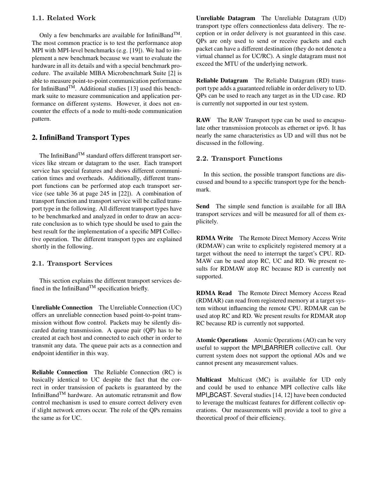# 1.1. Related Work

Only a few benchmarks are available for InfiniBand<sup>TM</sup>. The most common practice is to test the performance atop MPI with MPI-level benchmarks (e.g. [19]). We had to implement a new benchmark because we want to evaluate the hardware in all its details and with a special benchmark procedure. The available MIBA Microbenchmark Suite [2] is able to measure point-to-point communication performance for InfiniBand<sup>TM</sup>. Additional studies [13] used this benchmark suite to measure communication and application performance on different systems. However, it does not encounter the effects of a node to multi-node communication pattern.

# **2. InfiniBand Transport Types**

The InfiniBand<sup>TM</sup> standard offers different transport services like stream or datagram to the user. Each transport service has special features and shows different communication times and overheads. Additionally, different transport functions can be performed atop each transport service (see table 36 at page 245 in [22]). A combination of transport function and transport service will be called transport type in the following. All different transport types have to be benchmarked and analyzed in order to draw an accurate conclusion as to which type should be used to gain the best result for the implementation of a specific MPI Collective operation. The different transport types are explained shortly in the following.

#### 2.1. Transport Services

This section explains the different transport services defined in the InfiniBand<sup>TM</sup> specification briefly.

**Unreliable Connection** The Unreliable Connection (UC) offers an unreliable connection based point-to-point transmission without flow control. Packets may be silently discarded during transmission. A queue pair (QP) has to be created at each host and connected to each other in order to transmit any data. The queue pair acts as a connection and endpoint identifier in this way.

**Reliable Connection** The Reliable Connection (RC) is basically identical to UC despite the fact that the correct in order transission of packets is guaranteed by the InfiniBandTM hardware. An automatic retransmit and flow control mechanism is used to ensure correct delivery even if slight network errors occur. The role of the QPs remains the same as for UC.

**Unreliable Datagram** The Unreliable Datagram (UD) transport type offers connectionless data delivery. The reception or in order delivery is not guaranteed in this case. QPs are only used to send or receive packets and each packet can have a different destination (they do not denote a virtual channel as for UC/RC). A single datagram must not exceed the MTU of the underlying network.

**Reliable Datagram** The Reliable Datagram (RD) transport type adds a guaranteed reliable in order delivery to UD. QPs can be used to reach any target as in the UD case. RD is currently not supported in our test system.

**RAW** The RAW Transport type can be used to encapsulate other transmission protocols as ethernet or ipv6. It has nearly the same characteristics as UD and will thus not be discussed in the following.

#### 2.2. Transport Functions

In this section, the possible transport functions are discussed and bound to a specific transport type for the benchmark.

**Send** The simple send function is available for all IBA transport services and will be measured for all of them explicitely.

**RDMA Write** The Remote Direct Memory Access Write (RDMAW) can write to explicitely registered memory at a target without the need to interrupt the target's CPU. RD-MAW can be used atop RC, UC and RD. We present results for RDMAW atop RC because RD is currently not supported.

**RDMA Read** The Remote Direct Memory Access Read (RDMAR) can read from registered memory at a target system without influencing the remote CPU. RDMAR can be used atop RC and RD. We present results for RDMAR atop RC because RD is currently not supported.

**Atomic Operations** Atomic Operations (AO) can be very useful to support the MPI BARRIER collective call. Our current system does not support the optional AOs and we cannot present any measurement values.

**Multicast** Multicast (MC) is available for UD only and could be used to enhance MPI collective calls like MPI\_BCAST. Several studies [14, 12] have been conducted to leverage the multicast features for different collectiv operations. Our measurements will provide a tool to give a theoretical proof of their efficiency.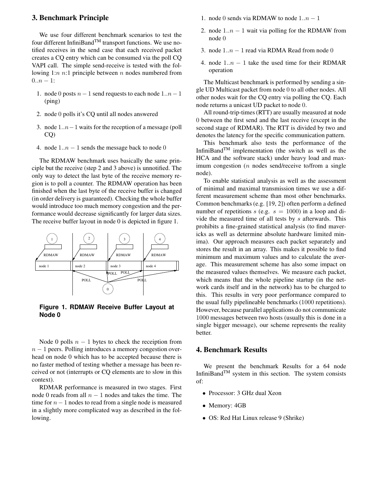## **3. Benchmark Principle**

We use four different benchmark scenarios to test the four different InfiniBand<sup>TM</sup> transport functions. We use notified receives in the send case that each received packet creates a CQ entry which can be consumed via the poll CQ VAPI call. The simple send-receive is tested with the following 1: $n$  n:1 principle between  $n$  nodes numbered from  $0..n-1$ :

- 1. node 0 posts  $n-1$  send requests to each node  $1..n-1$ (ping)
- 2. node 0 polls it's CQ until all nodes answered
- 3. node 1..n−1 waits for the reception of a message (poll CQ)
- 4. node  $1..n 1$  sends the message back to node 0

The RDMAW benchmark uses basically the same principle but the receive (step 2 and 3 above) is unnotified. The only way to detect the last byte of the receive memory region is to poll a counter. The RDMAW operation has been finished when the last byte of the receive buffer is changed (in order delivery is guaranteed). Checking the whole buffer would introduce too much memory congestion and the performance would decrease significantly for larger data sizes. The receive buffer layout in node 0 is depicted in figure 1.



**Figure 1. RDMAW Receive Buffer Layout at Node 0**

Node 0 polls  $n - 1$  bytes to check the receiption from  $n - 1$  peers. Polling introduces a memory congestion overhead on node 0 which has to be accepted because there is no faster method of testing whether a message has been received or not (interrupts or CQ elements are to slow in this context).

RDMAR performance is measured in two stages. First node 0 reads from all  $n - 1$  nodes and takes the time. The time for  $n - 1$  nodes to read from a single node is measured in a slightly more complicated way as described in the following.

- 1. node 0 sends via RDMAW to node  $1..n 1$
- 2. node  $1..n 1$  wait via polling for the RDMAW from node 0
- 3. node  $1..n 1$  read via RDMA Read from node 0
- 4. node  $1..n 1$  take the used time for their RDMAR operation

The Multicast benchmark is performed by sending a single UD Multicast packet from node 0 to all other nodes. All other nodes wait for the CQ entry via polling the CQ. Each node returns a unicast UD packet to node 0.

All round-trip-times(RTT) are usually measured at node 0 between the first send and the last receive (except in the second stage of RDMAR). The RTT is divided by two and denotes the latency for the specific communication pattern.

This benchmark also tests the performance of the InfiniBand<sup>TM</sup> implementation (the switch as well as the HCA and the software stack) under heavy load and maximum congestion (n nodes send/receive to/from a single node).

To enable statistical analysis as well as the assessment of minimal and maximal transmission times we use a different measurement scheme than most other benchmarks. Common benchmarks (e.g. [19, 2]) often perform a defined number of repetitions s (e.g.  $s = 1000$ ) in a loop and divide the measured time of all tests by  $s$  afterwards. This prohibits a fine-grained statistical analysis (to find mavericks as well as determine absolute hardware limited minima). Our approach measures each packet separately and stores the result in an array. This makes it possible to find minimum and maximum values and to calculate the average. This measurement scheme has also some impact on the measured values themselves. We measure each packet, which means that the whole pipeline startup (in the network cards itself and in the network) has to be charged to this. This results in very poor performance compared to the usual fully pipelineable benchmarks (1000 repetitions). However, because parallel applications do not communicate 1000 messages between two hosts (usually this is done in a single bigger message), our scheme represents the reality better.

# **4. Benchmark Results**

We present the benchmark Results for a 64 node InfiniBand $^{TM}$  system in this section. The system consists of:

- Processor: 3 GHz dual Xeon
- Memory: 4GB
- OS: Red Hat Linux release 9 (Shrike)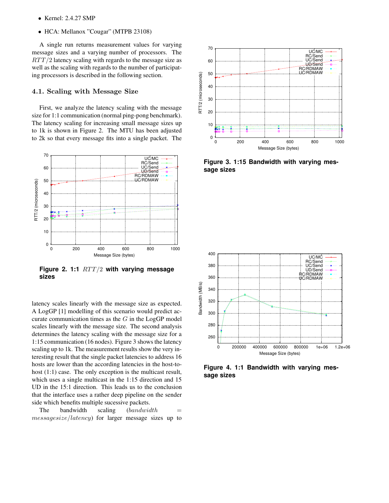- Kernel: 2.4.27 SMP
- HCA: Mellanox "Cougar" (MTPB 23108)

A single run returns measurement values for varying message sizes and a varying number of processors. The  $RTT/2$  latency scaling with regards to the message size as well as the scaling with regards to the number of participating processors is described in the following section.

## 4.1. Scaling with Message Size

First, we analyze the latency scaling with the message size for 1:1 communication (normal ping-pong benchmark). The latency scaling for increasing small message sizes up to 1k is shown in Figure 2. The MTU has been adjusted to 2k so that every message fits into a single packet. The



**Figure 2. 1:1** RTT/2 **with varying message sizes**

latency scales linearly with the message size as expected. A LogGP [1] modelling of this scenario would predict accurate communication times as the  $G$  in the LogGP model scales linearly with the message size. The second analysis determines the latency scaling with the message size for a 1:15 communication (16 nodes). Figure 3 shows the latency scaling up to 1k. The measurement results show the very interesting result that the single packet latencies to address 16 hosts are lower than the according latencies in the host-tohost  $(1:1)$  case. The only exception is the multicast result, which uses a single multicast in the 1:15 direction and 15 UD in the 15:1 direction. This leads us to the conclusion that the interface uses a rather deep pipeline on the sender side which benefits multiple sucessive packets.

The bandwidth scaling  $(bandwidth =$ messagesize/latency) for larger message sizes up to



**Figure 3. 1:15 Bandwidth with varying message sizes**



**Figure 4. 1:1 Bandwidth with varying message sizes**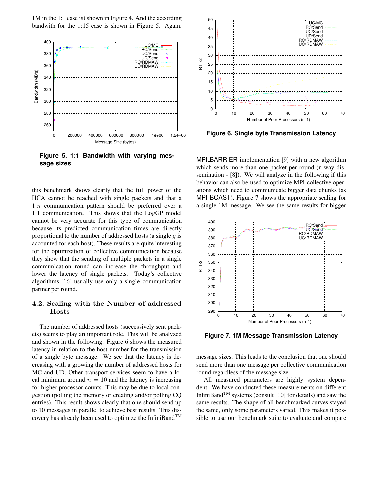1M in the 1:1 case ist shown in Figure 4. And the according bandwith for the 1:15 case is shown in Figure 5. Again,



**Figure 5. 1:1 Bandwidth with varying message sizes**

this benchmark shows clearly that the full power of the HCA cannot be reached with single packets and that a 1:n communication pattern should be preferred over a 1:1 communication. This shows that the LogGP model cannot be very accurate for this type of communication because its predicted communication times are directly proportional to the number of addressed hosts (a single  $q$  is accounted for each host). These results are quite interesting for the optimization of collective communication because they show that the sending of multiple packets in a single communication round can increase the throughput and lower the latency of single packets. Today's collective algorithms [16] usually use only a single communication partner per round.

# 4.2. Scaling with the Number of addressed Hosts

The number of addressed hosts (successively sent packets) seems to play an important role. This will be analyzed and shown in the following. Figure 6 shows the measured latency in relation to the host-number for the transmission of a single byte message. We see that the latency is decreasing with a growing the number of addressed hosts for MC and UD. Other transport services seem to have a local minimum around  $n = 10$  and the latency is increasing for higher processor counts. This may be due to local congestion (polling the memory or creating and/or polling CQ entries). This result shows clearly that one should send up to 10 messages in parallel to achieve best results. This discovery has already been used to optimize the InfiniBand<sup>TM</sup>



**Figure 6. Single byte Transmission Latency**

MPI\_BARRIER implementation [9] with a new algorithm which sends more than one packet per round (n-way dissemination - [8]). We will analyze in the following if this behavior can also be used to optimize MPI collective operations which need to communicate bigger data chunks (as MPI BCAST). Figure 7 shows the appropriate scaling for a single 1M message. We see the same results for bigger



**Figure 7. 1M Message Transmission Latency**

message sizes. This leads to the conclusion that one should send more than one message per collective communication round regardless of the message size.

All measured parameters are highly system dependent. We have conducted these measurements on different InfiniBandTM systems (consult [10] for details) and saw the same results. The shape of all benchmarked curves stayed the same, only some parameters varied. This makes it possible to use our benchmark suite to evaluate and compare